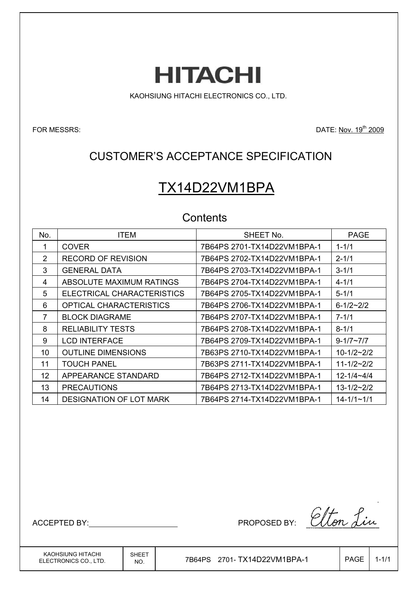**HITACHI** 

KAOHSIUNG HITACHI ELECTRONICS CO., LTD.

FOR MESSRS: DATE: Nov. 19<sup>th</sup> 2009

## CUSTOMER'S ACCEPTANCE SPECIFICATION

# TX14D22VM1BPA

## **Contents**

| No. | <b>ITEM</b>                    | SHEET No.                   | <b>PAGE</b>         |
|-----|--------------------------------|-----------------------------|---------------------|
| 1   | <b>COVER</b>                   | 7B64PS 2701-TX14D22VM1BPA-1 | $1 - 1/1$           |
| 2   | <b>RECORD OF REVISION</b>      | 7B64PS 2702-TX14D22VM1BPA-1 | $2 - 1/1$           |
| 3   | <b>GENERAL DATA</b>            | 7B64PS 2703-TX14D22VM1BPA-1 | $3 - 1/1$           |
| 4   | ABSOLUTE MAXIMUM RATINGS       | 7B64PS 2704-TX14D22VM1BPA-1 | $4 - 1/1$           |
| 5   | ELECTRICAL CHARACTERISTICS     | 7B64PS 2705-TX14D22VM1BPA-1 | $5 - 1/1$           |
| 6   | <b>OPTICAL CHARACTERISTICS</b> | 7B64PS 2706-TX14D22VM1BPA-1 | $6 - 1/2 - 2/2$     |
| 7   | <b>BLOCK DIAGRAME</b>          | 7B64PS 2707-TX14D22VM1BPA-1 | $7 - 1/1$           |
| 8   | <b>RELIABILITY TESTS</b>       | 7B64PS 2708-TX14D22VM1BPA-1 | $8 - 1/1$           |
| 9   | <b>LCD INTERFACE</b>           | 7B64PS 2709-TX14D22VM1BPA-1 | $9 - 1/7 \sim 7/7$  |
| 10  | <b>OUTLINE DIMENSIONS</b>      |                             | $10 - 1/2 - 2/2$    |
| 11  | TOUCH PANEL                    | 7B63PS 2711-TX14D22VM1BPA-1 | $11 - 1/2 - 2/2$    |
| 12  | APPEARANCE STANDARD            | 7B64PS 2712-TX14D22VM1BPA-1 | $12 - 1/4 - 4/4$    |
| 13  | <b>PRECAUTIONS</b>             | 7B64PS 2713-TX14D22VM1BPA-1 | $13 - 1/2 \sim 2/2$ |
| 14  | <b>DESIGNATION OF LOT MARK</b> | 7B64PS 2714-TX14D22VM1BPA-1 | $14 - 1/1 - 1/1$    |

ACCEPTED BY: ACCEPTED BY: ACCEPTED BY:

KAOHSIUNG HITACHI ELECTRONICS CO., LTD.  $N_{\rm NO.}$  7B64PS 2701-TX14D22VM1BPA-1 | PAGE 1-1/1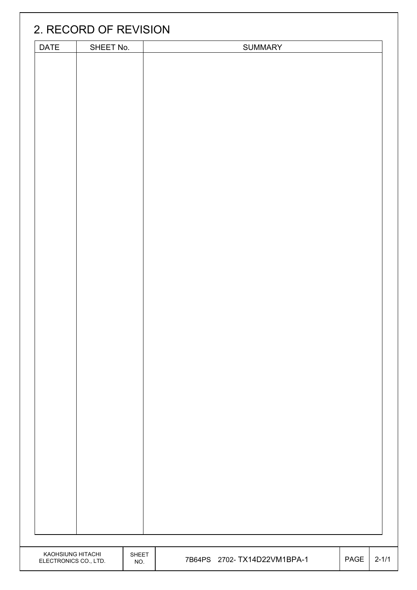|                       | 2. RECORD OF REVISION |       |                              |      |           |
|-----------------------|-----------------------|-------|------------------------------|------|-----------|
| DATE                  | SHEET No.             |       | <b>SUMMARY</b>               |      |           |
|                       |                       |       |                              |      |           |
|                       |                       |       |                              |      |           |
|                       |                       |       |                              |      |           |
|                       |                       |       |                              |      |           |
|                       |                       |       |                              |      |           |
|                       |                       |       |                              |      |           |
|                       |                       |       |                              |      |           |
|                       |                       |       |                              |      |           |
|                       |                       |       |                              |      |           |
|                       |                       |       |                              |      |           |
|                       |                       |       |                              |      |           |
|                       |                       |       |                              |      |           |
|                       |                       |       |                              |      |           |
|                       |                       |       |                              |      |           |
|                       |                       |       |                              |      |           |
|                       |                       |       |                              |      |           |
|                       |                       |       |                              |      |           |
|                       |                       |       |                              |      |           |
|                       |                       |       |                              |      |           |
|                       |                       |       |                              |      |           |
|                       |                       |       |                              |      |           |
|                       |                       |       |                              |      |           |
|                       |                       |       |                              |      |           |
|                       |                       |       |                              |      |           |
|                       |                       |       |                              |      |           |
|                       |                       |       |                              |      |           |
|                       |                       |       |                              |      |           |
|                       |                       |       |                              |      |           |
|                       |                       |       |                              |      |           |
|                       |                       |       |                              |      |           |
|                       |                       |       |                              |      |           |
|                       |                       |       |                              |      |           |
|                       |                       |       |                              |      |           |
|                       |                       |       |                              |      |           |
|                       |                       |       |                              |      |           |
|                       |                       |       |                              |      |           |
|                       |                       |       |                              |      |           |
|                       |                       |       |                              |      |           |
|                       |                       |       |                              |      |           |
|                       |                       |       |                              |      |           |
| KAOHSIUNG HITACHI     |                       | SHEET | 7B64PS 2702- TX14D22VM1BPA-1 | PAGE | $2 - 1/1$ |
| ELECTRONICS CO., LTD. |                       | NO.   |                              |      |           |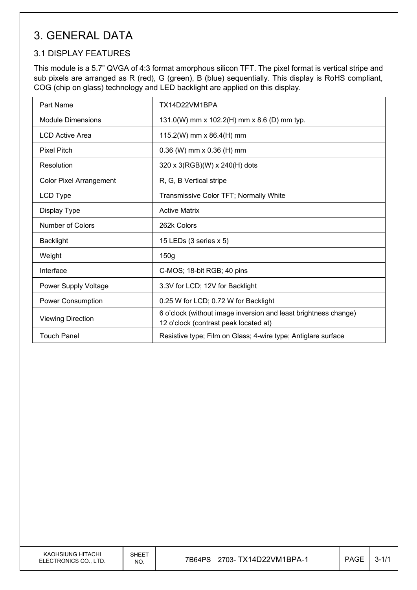## 3. GENERAL DATA

## 3.1 DISPLAY FEATURES

This module is a 5.7" QVGA of 4:3 format amorphous silicon TFT. The pixel format is vertical stripe and sub pixels are arranged as R (red), G (green), B (blue) sequentially. This display is RoHS compliant, COG (chip on glass) technology and LED backlight are applied on this display.

| Part Name                      | TX14D22VM1BPA                                                                                            |
|--------------------------------|----------------------------------------------------------------------------------------------------------|
| <b>Module Dimensions</b>       | 131.0(W) mm x 102.2(H) mm x 8.6 (D) mm typ.                                                              |
| <b>LCD Active Area</b>         | 115.2(W) mm x 86.4(H) mm                                                                                 |
| <b>Pixel Pitch</b>             | $0.36$ (W) mm x $0.36$ (H) mm                                                                            |
| Resolution                     | 320 x 3(RGB)(W) x 240(H) dots                                                                            |
| <b>Color Pixel Arrangement</b> | R, G, B Vertical stripe                                                                                  |
| LCD Type                       | Transmissive Color TFT; Normally White                                                                   |
| Display Type                   | <b>Active Matrix</b>                                                                                     |
| <b>Number of Colors</b>        | 262k Colors                                                                                              |
| <b>Backlight</b>               | 15 LEDs (3 series x 5)                                                                                   |
| Weight                         | 150g                                                                                                     |
| Interface                      | C-MOS; 18-bit RGB; 40 pins                                                                               |
| Power Supply Voltage           | 3.3V for LCD; 12V for Backlight                                                                          |
| <b>Power Consumption</b>       | 0.25 W for LCD; 0.72 W for Backlight                                                                     |
| <b>Viewing Direction</b>       | 6 o'clock (without image inversion and least brightness change)<br>12 o'clock (contrast peak located at) |
| <b>Touch Panel</b>             | Resistive type; Film on Glass; 4-wire type; Antiglare surface                                            |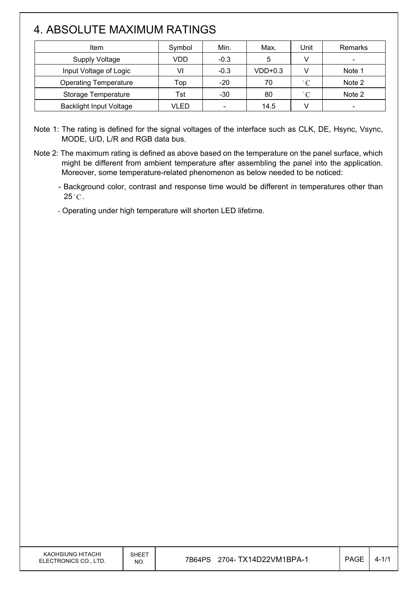# 4. ABSOLUTE MAXIMUM RATINGS

 $\overline{\phantom{a}}$ 

| Item                           | Symbol | Min.                     | Max.      | Unit              | Remarks                  |
|--------------------------------|--------|--------------------------|-----------|-------------------|--------------------------|
| <b>Supply Voltage</b>          | VDD    | $-0.3$                   | 5         |                   |                          |
| Input Voltage of Logic         | VI     | $-0.3$                   | $VDD+0.3$ |                   | Note 1                   |
| <b>Operating Temperature</b>   | Top    | $-20$                    | 70        | $^{\circ}$ C      | Note 2                   |
| Storage Temperature            | Tst    | $-30$                    | 80        | $^{\circ}$ $\cap$ | Note 2                   |
| <b>Backlight Input Voltage</b> | VLED   | $\overline{\phantom{0}}$ | 14.5      |                   | $\overline{\phantom{0}}$ |

Note 1: The rating is defined for the signal voltages of the interface such as CLK, DE, Hsync, Vsync, MODE, U/D, L/R and RGB data bus.

Note 2: The maximum rating is defined as above based on the temperature on the panel surface, which might be different from ambient temperature after assembling the panel into the application. Moreover, some temperature-related phenomenon as below needed to be noticed:

- Background color, contrast and response time would be different in temperatures other than  $25^{\circ}$ C.

- Operating under high temperature will shorten LED lifetime.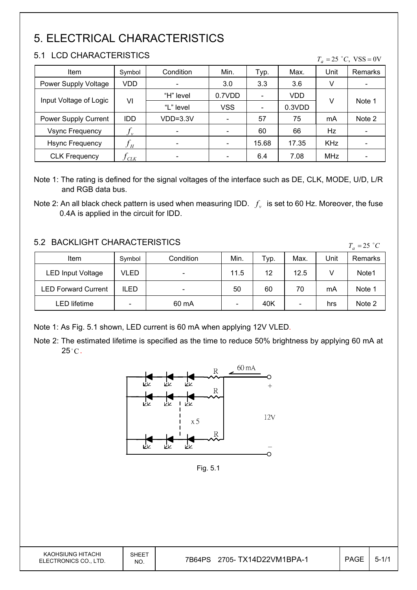# 5. ELECTRICAL CHARACTERISTICS

## 5.1 LCD CHARACTERISTICS

 $\mathsf{I}$ 

| 0.1 LUD UHARAUTERISTIUS.<br>$T_a = 25$ °C, VSS = 0V |                            |            |            |                          |        |            |         |
|-----------------------------------------------------|----------------------------|------------|------------|--------------------------|--------|------------|---------|
| Item                                                | Symbol                     | Condition  | Min.       | Typ.                     | Max.   | Unit       | Remarks |
| Power Supply Voltage                                | VDD                        |            | 3.0        | 3.3                      | 3.6    | V          |         |
|                                                     | VI                         | "H" level  | 0.7VDD     |                          | VDD    | V          |         |
| Input Voltage of Logic                              |                            | "L" level  | <b>VSS</b> | $\overline{\phantom{a}}$ | 0.3VDD |            | Note 1  |
| Power Supply Current                                | IDD                        | $VDD=3.3V$ |            | 57                       | 75     | mA         | Note 2  |
| <b>Vsync Frequency</b>                              | $f_{\nu}$                  |            |            | 60                       | 66     | <b>Hz</b>  |         |
| <b>Hsync Frequency</b>                              | $f_{\scriptscriptstyle H}$ |            |            | 15.68                    | 17.35  | <b>KHz</b> |         |
| <b>CLK Frequency</b>                                | $J_{C L K}$                |            |            | 6.4                      | 7.08   | <b>MHz</b> |         |

Note 1: The rating is defined for the signal voltages of the interface such as DE, CLK, MODE, U/D, L/R and RGB data bus.

### 5.2 BACKLIGHT CHARACTERISTICS

| 9.2 DAUNLIUM UMARAUTERISTIUS |        |                          |      |      |      | $T_a = 25$ °C |         |
|------------------------------|--------|--------------------------|------|------|------|---------------|---------|
| Item                         | Symbol | Condition                | Min. | Typ. | Max. | Unit          | Remarks |
| <b>LED Input Voltage</b>     | VLED   |                          | 11.5 | 12   | 12.5 |               | Note1   |
| LED Forward Current          | ILED   | $\overline{\phantom{0}}$ | 50   | 60   | 70   | mA            | Note 1  |
| LED lifetime                 |        | 60 mA                    |      | 40K  | -    | hrs           | Note 2  |

Note 1: As Fig. 5.1 shown, LED current is 60 mA when applying 12V VLED.

Note 2: The estimated lifetime is specified as the time to reduce 50% brightness by applying 60 mA at  $25^{\circ}$ C.



Fig. 5.1

| KAOHSIUNG HITACHI     |
|-----------------------|
| ELECTRONICS CO., LTD. |

Note 2: An all black check pattern is used when measuring IDD.  $f_v$  is set to 60 Hz. Moreover, the fuse 0.4A is applied in the circuit for IDD.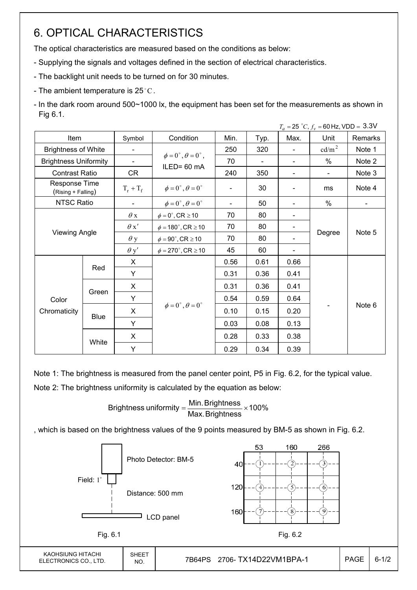## 6. OPTICAL CHARACTERISTICS

The optical characteristics are measured based on the conditions as below:

- Supplying the signals and voltages defined in the section of electrical characteristics.
- The backlight unit needs to be turned on for 30 minutes.
- The ambient temperature is 25 °C.
- In the dark room around 500~1000 lx, the equipment has been set for the measurements as shown in Fig 6.1.

|                                     |       |                          |                                          |      |                |      | $T_a = 25 °C$ , $f_v = 60$ Hz, VDD = 3.3V |         |  |
|-------------------------------------|-------|--------------------------|------------------------------------------|------|----------------|------|-------------------------------------------|---------|--|
| Item                                |       | Symbol                   | Condition                                | Min. | Typ.           | Max. | Unit                                      | Remarks |  |
| <b>Brightness of White</b>          |       | $\blacksquare$           |                                          | 250  | 320            |      | cd/m <sup>2</sup>                         | Note 1  |  |
| <b>Brightness Uniformity</b>        |       | $\overline{\phantom{a}}$ | $\phi = 0^{\circ}, \theta = 0^{\circ}$ , | 70   | $\blacksquare$ |      | $\%$                                      | Note 2  |  |
| <b>Contrast Ratio</b>               |       | CR                       | ILED= 60 mA                              | 240  | 350            |      | $\blacksquare$                            | Note 3  |  |
| Response Time<br>(Rising + Falling) |       | $T_r + T_f$              | $\phi = 0^{\circ}, \theta = 0^{\circ}$   |      | 30             |      | ms                                        | Note 4  |  |
| NTSC Ratio                          |       |                          | $\phi = 0^{\circ}, \theta = 0^{\circ}$   |      | 50             |      | %                                         |         |  |
|                                     |       | $\theta$ x               | $\phi = 0^\circ$ , CR $\geq 10$          | 70   | 80             |      |                                           | Note 5  |  |
|                                     |       | $\theta x'$              | $\phi = 180^\circ$ , CR $\geq 10$        | 70   | 80             |      |                                           |         |  |
| <b>Viewing Angle</b>                |       | $\theta$ y               | $\phi = 90^{\circ}$ , CR $\geq 10$       | 70   | 80             |      | Degree                                    |         |  |
|                                     |       | $\theta$ y'              | $\phi = 270^\circ$ , CR $\geq 10$        | 45   | 60             |      |                                           |         |  |
|                                     |       | X                        |                                          | 0.56 | 0.61           | 0.66 |                                           |         |  |
|                                     | Red   | Y                        |                                          | 0.31 | 0.36           | 0.41 |                                           | Note 6  |  |
|                                     |       | X                        |                                          | 0.31 | 0.36           | 0.41 |                                           |         |  |
| Color                               | Green | Y                        |                                          | 0.54 | 0.59           | 0.64 |                                           |         |  |
| Chromaticity                        |       | X                        | $\phi = 0^{\circ}, \theta = 0^{\circ}$   | 0.10 | 0.15           | 0.20 |                                           |         |  |
|                                     | Blue  | Y                        |                                          | 0.03 | 0.08           | 0.13 |                                           |         |  |
|                                     |       | X                        |                                          | 0.28 | 0.33           | 0.38 |                                           |         |  |
|                                     | White | Y                        |                                          | 0.29 | 0.34           | 0.39 |                                           |         |  |

Note 1: The brightness is measured from the panel center point, P5 in Fig. 6.2, for the typical value.

Note 2: The brightness uniformity is calculated by the equation as below:

Brightness uniformity  $=\frac{1}{100}$  and  $\frac{1}{100}$  x 100% Max. Brightness Brightness uniformity  $=\frac{\text{Min.} \text{Brightness}}{\text{max.}} \times$ 

, which is based on the brightness values of the 9 points measured by BM-5 as shown in Fig. 6.2.

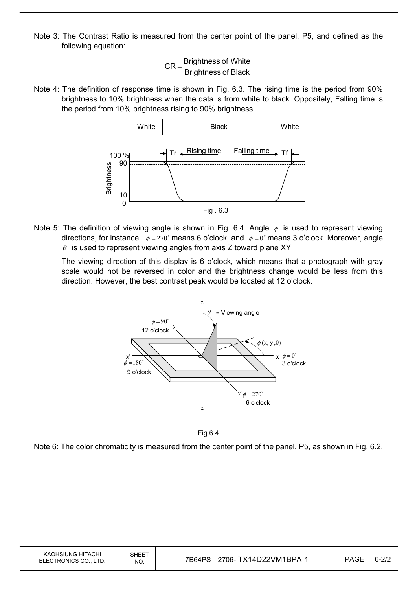Note 3: The Contrast Ratio is measured from the center point of the panel, P5, and defined as the following equation:

> **Brightness of Black**  $CR =$ Brightness of White

Note 4: The definition of response time is shown in Fig. 6.3. The rising time is the period from 90% brightness to 10% brightness when the data is from white to black. Oppositely, Falling time is the period from 10% brightness rising to 90% brightness.



Note 5: The definition of viewing angle is shown in Fig. 6.4. Angle  $\phi$  is used to represent viewing directions, for instance,  $\phi = 270^\circ$  means 6 o'clock, and  $\phi = 0^\circ$  means 3 o'clock. Moreover, angle  $\theta$  is used to represent viewing angles from axis Z toward plane XY.

 The viewing direction of this display is 6 o'clock, which means that a photograph with gray scale would not be reversed in color and the brightness change would be less from this direction. However, the best contrast peak would be located at 12 o'clock.





Note 6: The color chromaticity is measured from the center point of the panel, P5, as shown in Fig. 6.2.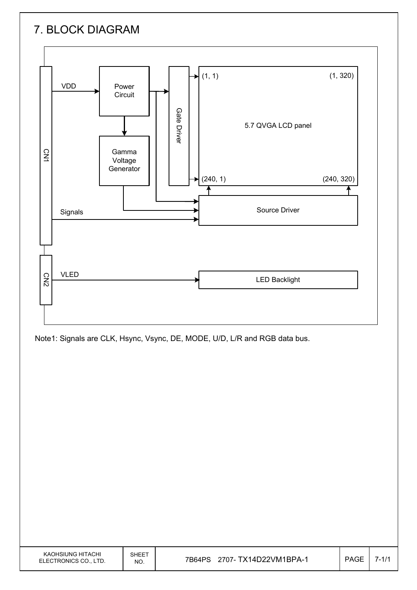# 7. BLOCK DIAGRAM



Note1: Signals are CLK, Hsync, Vsync, DE, MODE, U/D, L/R and RGB data bus.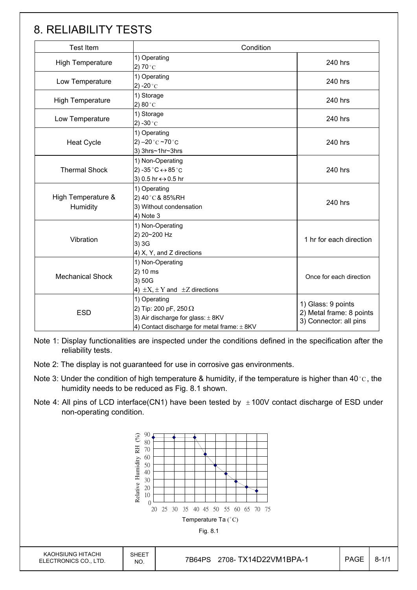## 8. RELIABILITY TESTS

| <b>Test Item</b>               | Condition                                                                                                                                |                                                                          |  |
|--------------------------------|------------------------------------------------------------------------------------------------------------------------------------------|--------------------------------------------------------------------------|--|
| High Temperature               | 1) Operating<br>2) 70 $^{\circ}$ C                                                                                                       | 240 hrs                                                                  |  |
| Low Temperature                | 1) Operating<br>2) -20 $^{\circ}$ C                                                                                                      | 240 hrs                                                                  |  |
| <b>High Temperature</b>        | 1) Storage<br>2) $80^{\circ}$ C                                                                                                          | 240 hrs                                                                  |  |
| Low Temperature                | 1) Storage<br>2) -30 $^{\circ}$ C                                                                                                        | 240 hrs                                                                  |  |
| <b>Heat Cycle</b>              | 1) Operating<br>2) $-20$ °C $-70$ °C<br>3) 3hrs~1hr~3hrs                                                                                 | 240 hrs                                                                  |  |
| <b>Thermal Shock</b>           | 1) Non-Operating<br>2) -35 $^{\circ}$ C $\leftrightarrow$ 85 $^{\circ}$ C<br>3) 0.5 hr ↔ 0.5 hr                                          | 240 hrs                                                                  |  |
| High Temperature &<br>Humidity | 1) Operating<br>2) 40°C & 85%RH<br>3) Without condensation<br>4) Note 3                                                                  | 240 hrs                                                                  |  |
| Vibration                      | 1) Non-Operating<br>2) 20~200 Hz<br>3) 3G<br>4) X, Y, and Z directions                                                                   | 1 hr for each direction                                                  |  |
| <b>Mechanical Shock</b>        | 1) Non-Operating<br>2) 10 ms<br>3) 50G<br>4) $\pm X$ , $\pm Y$ and $\pm Z$ directions                                                    | Once for each direction                                                  |  |
| <b>ESD</b>                     | 1) Operating<br>2) Tip: 200 pF, 250 $\Omega$<br>3) Air discharge for glass: $\pm$ 8KV<br>4) Contact discharge for metal frame: $\pm$ 8KV | 1) Glass: 9 points<br>2) Metal frame: 8 points<br>3) Connector: all pins |  |

Note 1: Display functionalities are inspected under the conditions defined in the specification after the reliability tests.

- Note 2: The display is not guaranteed for use in corrosive gas environments.
- Note 3: Under the condition of high temperature & humidity, if the temperature is higher than 40 °C, the humidity needs to be reduced as Fig. 8.1 shown.
- Note 4: All pins of LCD interface(CN1) have been tested by  $\pm$  100V contact discharge of ESD under non-operating condition.

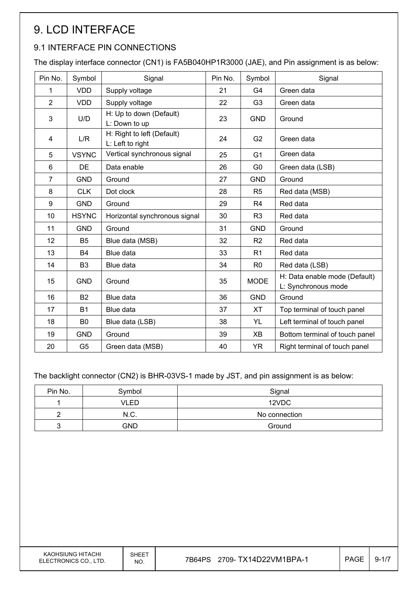# 9. LCD INTERFACE

## 9.1 INTERFACE PIN CONNECTIONS

The display interface connector (CN1) is FA5B040HP1R3000 (JAE), and Pin assignment is as below:

| Pin No.        | Symbol         | Signal                                         | Pin No. | Symbol         | Signal                                               |
|----------------|----------------|------------------------------------------------|---------|----------------|------------------------------------------------------|
| 1              | <b>VDD</b>     | Supply voltage                                 | 21      | G4             | Green data                                           |
| $\overline{2}$ | <b>VDD</b>     | Supply voltage                                 | 22      | G <sub>3</sub> | Green data                                           |
| 3              | U/D            | H: Up to down (Default)<br>L: Down to up       | 23      | <b>GND</b>     | Ground                                               |
| 4              | L/R            | H: Right to left (Default)<br>L: Left to right | 24      | G <sub>2</sub> | Green data                                           |
| 5              | <b>VSYNC</b>   | Vertical synchronous signal                    | 25      | G <sub>1</sub> | Green data                                           |
| 6              | DE             | Data enable                                    | 26      | G <sub>0</sub> | Green data (LSB)                                     |
| $\overline{7}$ | <b>GND</b>     | Ground                                         | 27      | <b>GND</b>     | Ground                                               |
| 8              | <b>CLK</b>     | Dot clock                                      | 28      | R <sub>5</sub> | Red data (MSB)                                       |
| 9              | <b>GND</b>     | Ground                                         | 29      | R <sub>4</sub> | Red data                                             |
| 10             | <b>HSYNC</b>   | Horizontal synchronous signal                  | 30      | R <sub>3</sub> | Red data                                             |
| 11             | <b>GND</b>     | Ground                                         | 31      | <b>GND</b>     | Ground                                               |
| 12             | B <sub>5</sub> | Blue data (MSB)                                | 32      | R <sub>2</sub> | Red data                                             |
| 13             | <b>B4</b>      | Blue data                                      | 33      | R <sub>1</sub> | Red data                                             |
| 14             | B <sub>3</sub> | Blue data                                      | 34      | R <sub>0</sub> | Red data (LSB)                                       |
| 15             | <b>GND</b>     | Ground                                         | 35      | <b>MODE</b>    | H: Data enable mode (Default)<br>L: Synchronous mode |
| 16             | <b>B2</b>      | Blue data                                      | 36      | <b>GND</b>     | Ground                                               |
| 17             | <b>B1</b>      | Blue data                                      | 37      | <b>XT</b>      | Top terminal of touch panel                          |
| 18             | B <sub>0</sub> | Blue data (LSB)                                | 38      | YL             | Left terminal of touch panel                         |
| 19             | <b>GND</b>     | Ground                                         | 39      | <b>XB</b>      | Bottom terminal of touch panel                       |
| 20             | G <sub>5</sub> | Green data (MSB)                               | 40      | <b>YR</b>      | Right terminal of touch panel                        |

The backlight connector (CN2) is BHR-03VS-1 made by JST, and pin assignment is as below:

| Pin No. | Symbol | Signal        |
|---------|--------|---------------|
|         | VLED   | 12VDC         |
|         | N.C.   | No connection |
|         | GND    | Ground        |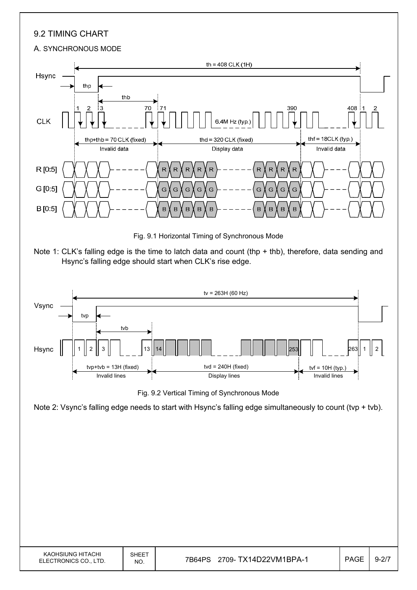## 9.2 TIMING CHART

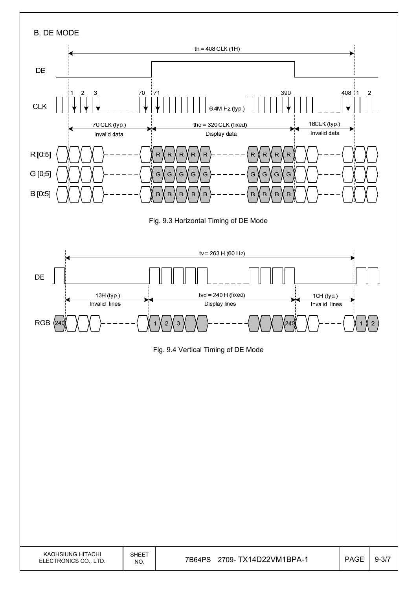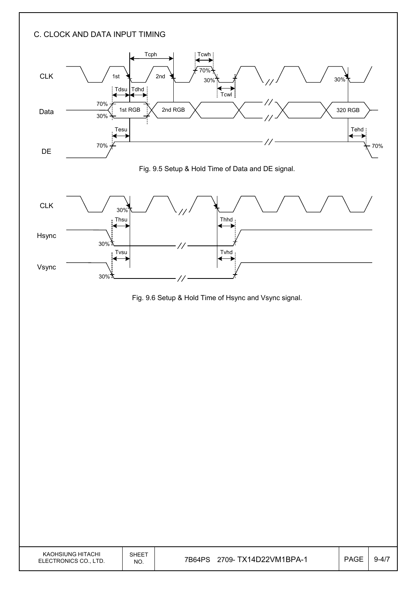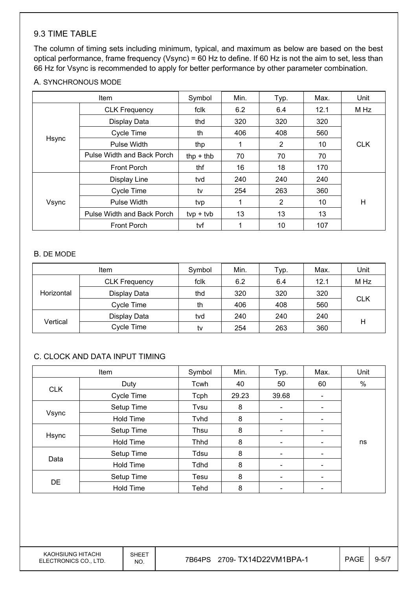#### 9.3 TIME TABLE

The column of timing sets including minimum, typical, and maximum as below are based on the best optical performance, frame frequency (Vsync) = 60 Hz to define. If 60 Hz is not the aim to set, less than 66 Hz for Vsync is recommended to apply for better performance by other parameter combination.

#### A. SYNCHRONOUS MODE

| <b>Item</b> |                            | Symbol      | Min. | Typ. | Max. | Unit       |  |
|-------------|----------------------------|-------------|------|------|------|------------|--|
|             | <b>CLK Frequency</b>       | fclk        | 6.2  | 6.4  | 12.1 | M Hz       |  |
|             | Display Data               | thd         | 320  | 320  | 320  |            |  |
|             | Cycle Time                 | th          | 406  | 408  | 560  |            |  |
| Hsync       | Pulse Width                | thp         | 1    | 2    | 10   | <b>CLK</b> |  |
|             | Pulse Width and Back Porch | thp $+$ thb | 70   | 70   | 70   |            |  |
|             | <b>Front Porch</b>         | thf         | 16   | 18   | 170  |            |  |
| Vsync       | Display Line               | tvd         | 240  | 240  | 240  |            |  |
|             | Cycle Time                 | tv          | 254  | 263  | 360  |            |  |
|             | Pulse Width                | tvp         |      | 2    | 10   | H          |  |
|             | Pulse Width and Back Porch | $typ + tvb$ | 13   | 13   | 13   |            |  |
|             | <b>Front Porch</b>         | tvf         |      | 10   | 107  |            |  |

#### B. DE MODE

| Item       |                      | Symbol | Min. | Typ. | Max. | Unit       |  |
|------------|----------------------|--------|------|------|------|------------|--|
| Horizontal | <b>CLK Frequency</b> | fclk   | 6.2  | 6.4  | 12.1 | M Hz       |  |
|            | Display Data         | thd    | 320  | 320  | 320  |            |  |
|            | Cycle Time           | th     | 406  | 408  | 560  | <b>CLK</b> |  |
|            | Display Data         | tvd    | 240  | 240  | 240  |            |  |
| Vertical   | Cycle Time           | tv     | 254  | 263  | 360  | Н          |  |

### C. CLOCK AND DATA INPUT TIMING

| Item       |                  | Symbol      | Min.  | Typ.                     | Max.                     | Unit |
|------------|------------------|-------------|-------|--------------------------|--------------------------|------|
|            | Duty             | Tcwh        | 40    | 50                       | 60                       | $\%$ |
| <b>CLK</b> | Cycle Time       | Tcph        | 29.23 | 39.68                    | $\overline{\phantom{a}}$ |      |
|            | Setup Time       | Tvsu        | 8     | $\overline{\phantom{a}}$ |                          |      |
| Vsync      | Hold Time        | Tyhd        | 8     | $\overline{\phantom{a}}$ | $\overline{\phantom{0}}$ |      |
|            | Setup Time       | Thsu        | 8     | $\overline{\phantom{a}}$ | $\overline{\phantom{0}}$ |      |
| Hsync      | Hold Time        | <b>Thhd</b> | 8     |                          |                          | ns   |
|            | Setup Time       | Tdsu        | 8     | $\overline{\phantom{a}}$ | -                        |      |
| Data       | <b>Hold Time</b> | <b>Tdhd</b> | 8     | $\overline{\phantom{a}}$ | -                        |      |
|            | Setup Time       | Tesu        | 8     | $\overline{\phantom{a}}$ |                          |      |
| DE         | <b>Hold Time</b> | Tehd        | 8     | $\overline{\phantom{a}}$ | -                        |      |

KAOHSIUNG HITACHI ELECTRONICS CO., LTD.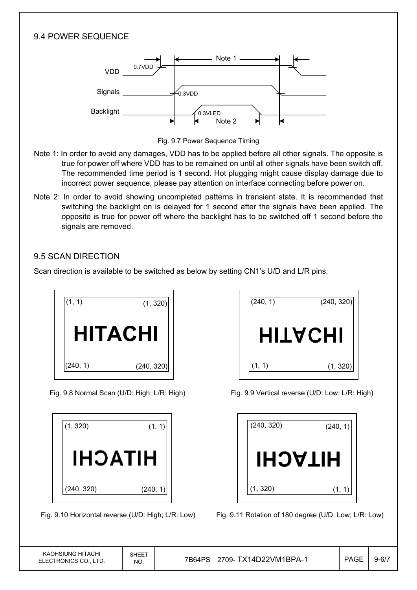### 9.4 POWER SEQUENCE



Fig. 9.7 Power Sequence Timing

- Note 1: In order to avoid any damages, VDD has to be applied before all other signals. The opposite is true for power off where VDD has to be remained on until all other signals have been switch off. The recommended time period is 1 second. Hot plugging might cause display damage due to incorrect power sequence, please pay attention on interface connecting before power on.
- Note 2: In order to avoid showing uncompleted patterns in transient state. It is recommended that switching the backlight on is delayed for 1 second after the signals have been applied. The opposite is true for power off where the backlight has to be switched off 1 second before the signals are removed.

### 9.5 SCAN DIRECTION

Scan direction is available to be switched as below by setting CN1's U/D and L/R pins.







Fig. 9.8 Normal Scan (U/D: High; L/R: High) Fig. 9.9 Vertical reverse (U/D: Low; L/R: High)

| (240, 320)     | (240, 1) |
|----------------|----------|
| <b>HITACHI</b> |          |
| (1, 320)       | (1, 1)   |

Fig. 9.10 Horizontal reverse (U/D: High; L/R: Low) Fig. 9.11 Rotation of 180 degree (U/D: Low; L/R: Low)

| KAOHSIUNG HITACHI     |  |
|-----------------------|--|
| ELECTRONICS CO., LTD. |  |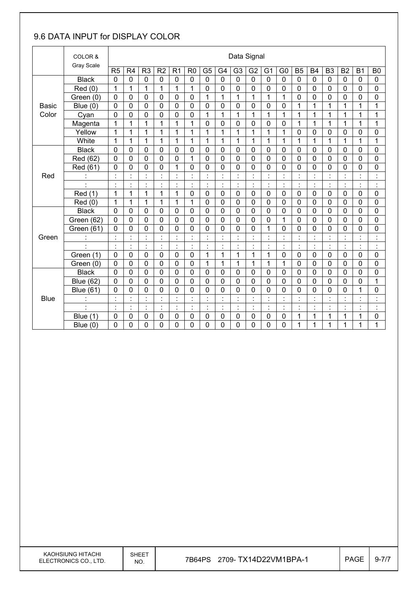## 9.6 DATA INPUT for DISPLAY COLOR

|              | COLOR &<br>Gray Scale |                |                                  |                                  |                |                           |                |                              |                         | Data Signal                 |                |                      |                                  |                      |                |                      |                                  |                           |                      |
|--------------|-----------------------|----------------|----------------------------------|----------------------------------|----------------|---------------------------|----------------|------------------------------|-------------------------|-----------------------------|----------------|----------------------|----------------------------------|----------------------|----------------|----------------------|----------------------------------|---------------------------|----------------------|
|              |                       | R <sub>5</sub> | R <sub>4</sub>                   | R <sub>3</sub>                   | R <sub>2</sub> | R <sub>1</sub>            | R <sub>0</sub> | G <sub>5</sub>               | G4                      | G <sub>3</sub>              | G <sub>2</sub> | G <sub>1</sub>       | G <sub>0</sub>                   | <b>B5</b>            | <b>B4</b>      | B <sub>3</sub>       | <b>B2</b>                        | <b>B1</b>                 | B <sub>0</sub>       |
|              | <b>Black</b>          | $\mathbf 0$    | 0                                | $\mathbf 0$                      | $\mathbf 0$    | $\overline{0}$            | $\mathbf 0$    | $\mathbf 0$                  | $\overline{0}$          | $\mathbf 0$                 | $\mathbf 0$    | $\mathbf 0$          | $\overline{0}$                   | $\overline{0}$       | $\mathbf 0$    | $\overline{0}$       | 0                                | $\mathbf 0$               | $\mathbf 0$          |
|              | Red(0)                | 1              | $\mathbf{1}$                     | 1                                | 1              | $\mathbf{1}$              | 1              | 0                            | $\mathbf 0$             | 0                           | 0              | 0                    | 0                                | $\mathbf 0$          | $\mathbf 0$    | $\mathbf 0$          | 0                                | $\mathbf 0$               | 0                    |
|              | Green (0)             | 0              | 0                                | 0                                | 0              | 0                         | $\mathbf 0$    | $\mathbf{1}$                 | $\mathbf{1}$            | $\mathbf{1}$                | 1              | 1                    | 1                                | $\mathbf 0$          | 0              | $\mathbf 0$          | 0                                | 0                         | 0                    |
| <b>Basic</b> | Blue $(0)$            | 0              | 0                                | $\mathbf 0$                      | 0              | 0                         | $\mathbf 0$    | $\mathbf 0$                  | $\mathbf 0$             | 0                           | $\mathbf 0$    | 0                    | 0                                | 1                    | $\mathbf{1}$   | $\mathbf{1}$         | 1                                | 1                         | 1                    |
| Color        | Cyan                  | $\overline{0}$ | 0                                | 0                                | $\mathbf 0$    | 0                         | $\mathbf 0$    | 1                            | 1                       | 1                           | 1              | 1                    | 1                                | 1                    | 1              | 1                    | 1                                | 1                         | 1                    |
|              | Magenta               | 1              | 1                                | $\mathbf{1}$                     | 1              | 1                         | 1              | $\mathbf 0$                  | $\mathbf 0$             | 0                           | 0              | 0                    | 0                                | 1                    | 1              | 1                    | 1                                | 1                         | 1                    |
|              | Yellow                | 1              | 1                                | 1                                | 1              | 1                         | 1              | $\mathbf 1$                  | $\mathbf{1}$            | $\mathbf{1}$                | $\overline{1}$ | 1                    | $\mathbf{1}$                     | $\mathbf 0$          | 0              | $\mathbf 0$          | 0                                | 0                         | $\mathbf 0$          |
|              | White                 | 1              | 1                                | $\mathbf{1}$                     | 1              | 1                         | 1              | 1                            | 1                       | 1                           | 1              | 1                    | 1                                | 1                    | 1              | 1                    | 1                                | 1                         | 1                    |
|              | <b>Black</b>          | 0              | 0                                | 0                                | 0              | $\mathbf 0$               | $\mathbf 0$    | $\mathbf 0$                  | $\mathbf 0$             | 0                           | 0              | 0                    | 0                                | $\mathbf 0$          | 0              | $\mathbf 0$          | 0                                | 0                         | 0                    |
|              | Red (62)              | 0              | 0                                | 0                                | $\Omega$       | 0                         | 1              | $\mathbf 0$                  | $\overline{0}$          | $\Omega$                    | $\mathbf 0$    | 0                    | 0                                | $\mathbf 0$          | 0              | $\mathbf 0$          | 0                                | $\Omega$                  | 0                    |
|              | Red (61)              | 0              | 0                                | 0                                | 0              | $\mathbf{1}$              | $\mathbf 0$    | $\mathbf 0$                  | $\mathbf 0$             | 0                           | 0              | 0                    | 0                                | $\mathbf 0$          | $\mathbf 0$    | $\mathbf 0$          | 0                                | 0                         | $\mathbf 0$          |
| Red          |                       | $\cdot$        | Ì.                               | $\blacksquare$<br>$\blacksquare$ | $\ddot{\cdot}$ | $\ddot{\cdot}$            |                | $\ddot{\phantom{a}}$         | $\ddot{\phantom{a}}$    | $\blacksquare$<br>×,        | $\ddot{\cdot}$ | $\ddot{\cdot}$       | $\ddot{\cdot}$                   | $\ddot{\cdot}$       |                | $\ddot{\phantom{a}}$ | $\blacksquare$                   | $\cdot$<br>٠              | $\ddot{\cdot}$       |
|              |                       | $\blacksquare$ | $\blacksquare$                   | $\blacksquare$                   | $\blacksquare$ | $\blacksquare$<br>×,      | $\blacksquare$ | Ì.                           | $\blacksquare$          | $\blacksquare$              | $\cdot$        | $\cdot$              | $\blacksquare$<br>$\cdot$        | $\blacksquare$       | $\blacksquare$ | $\blacksquare$       | $\blacksquare$                   | $\cdot$                   | $\cdot$<br>٠         |
|              | Red (1)               | 1              | 1                                | $\mathbf{1}$                     | 1              | $\mathbf{1}$              | $\mathbf 0$    | $\mathbf 0$                  | $\overline{0}$          | 0                           | $\mathbf 0$    | $\mathbf 0$          | 0                                | $\mathbf 0$          | $\mathbf 0$    | $\overline{0}$       | 0                                | $\mathbf 0$               | 0                    |
|              | Red (0)               | 1              | 1                                | 1                                | 1              | 1                         | 1              | $\mathbf 0$                  | $\mathbf 0$             | 0                           | 0              | 0                    | 0                                | $\mathbf 0$          | 0              | $\mathbf 0$          | 0                                | 0                         | 0                    |
|              | <b>Black</b>          | $\mathbf 0$    | 0                                | 0                                | 0              | $\mathbf 0$               | $\mathbf 0$    | $\mathbf 0$                  | $\mathbf 0$             | 0                           | $\mathbf 0$    | $\mathbf 0$          | 0                                | $\mathbf 0$          | $\mathbf 0$    | $\mathbf 0$          | 0                                | 0                         | 0                    |
|              | Green (62)            | $\overline{0}$ | 0                                | 0                                | 0              | 0                         | $\mathbf 0$    | $\mathbf 0$                  | $\mathbf 0$             | 0                           | 0              | 0                    | 1                                | $\mathbf 0$          | 0              | $\overline{0}$       | 0                                | 0                         | 0                    |
|              | Green (61)            | 0              | 0                                | 0                                | 0              | 0                         | 0              | 0                            | $\mathbf 0$             | 0                           | 0              | 1                    | 0                                | $\mathbf 0$          | 0              | $\mathbf 0$          | 0                                | 0                         | 0                    |
| Green        | ÷,                    |                | $\ddot{\cdot}$                   | $\cdot$                          | $\ddot{\cdot}$ |                           |                | ċ                            | $\ddot{\cdot}$          |                             |                |                      | $\ddot{\cdot}$                   | ċ                    |                |                      | $\blacksquare$                   | $\cdot$                   | $\ddot{\cdot}$       |
|              | ä,                    | ÷.             | Ì.                               | ł,                               | $\vdots$       | Ì.                        | $\ddot{\cdot}$ | $\ddot{\phantom{a}}$         | Ì.                      | $\ddot{\cdot}$              | t,             | $\ddot{\phantom{a}}$ | Ì.                               | t                    | ċ              | $\ddot{\cdot}$       | ł,                               | $\cdot$                   | $\ddot{\phantom{a}}$ |
|              | Green (1)             | $\mathbf 0$    | 0                                | 0                                | $\mathbf 0$    | 0                         | $\mathbf 0$    | $\mathbf 1$                  | $\mathbf 1$             | 1                           | 1              | 1                    | 0                                | $\mathbf 0$          | $\mathbf 0$    | $\mathbf 0$          | 0                                | $\mathbf 0$               | 0                    |
|              | Green (0)             | 0              | 0                                | 0                                | $\mathbf 0$    | 0                         | $\mathbf 0$    | $\mathbf{1}$                 | 1                       | 1                           | 1              | 1                    | 1                                | $\mathbf 0$          | $\mathbf 0$    | $\mathbf 0$          | 0                                | $\mathbf 0$               | 0                    |
|              | <b>Black</b>          | $\overline{0}$ | 0                                | 0                                | 0              | $\mathbf 0$               | $\mathbf 0$    | $\mathbf 0$                  | $\mathbf 0$             | 0                           | $\mathbf 0$    | 0                    | 0                                | $\mathbf 0$          | $\overline{0}$ | $\overline{0}$       | 0                                | $\mathbf 0$               | $\mathbf 0$          |
|              | <b>Blue (62)</b>      | 0              | 0                                | 0                                | 0              | 0                         | $\mathbf 0$    | $\mathbf 0$                  | $\mathbf 0$             | 0                           | 0              | 0                    | 0                                | $\mathbf 0$          | 0              | $\mathbf 0$          | 0                                | 0                         | 1                    |
|              | <b>Blue (61)</b>      | 0              | 0                                | 0                                | 0              | 0                         | 0              | $\mathbf 0$                  | $\mathbf 0$             | 0                           | 0              | 0                    | 0                                | $\mathbf 0$          | 0              | 0                    | 0                                | $\mathbf{1}$              | 0                    |
| <b>Blue</b>  |                       | $\blacksquare$ | $\blacksquare$<br>$\blacksquare$ | $\blacksquare$                   | $\cdot$<br>÷.  | $\cdot$<br>÷.             | $\blacksquare$ | $\blacksquare$<br>$\epsilon$ | $\cdot$<br>$\mathbf{r}$ | $\cdot$                     | $\cdot$        |                      | $\blacksquare$<br>$\blacksquare$ | $\blacksquare$<br>÷. | $\cdot$        | $\blacksquare$       | $\blacksquare$                   | $\cdot$                   | ċ                    |
|              |                       | $\cdot$<br>٠   | $\blacksquare$<br>$\blacksquare$ | $\blacksquare$<br>$\blacksquare$ | $\ddot{\cdot}$ | $\blacksquare$<br>$\cdot$ | $\blacksquare$ | ÷,                           | $\cdot$<br>$\cdot$      | $\blacksquare$<br>$\bullet$ | $\cdot$<br>٠   | $\ddot{\cdot}$       | $\cdot$<br>$\sim$                | t                    | $\cdot$        | $\cdot$<br>$\cdot$   | $\blacksquare$<br>$\blacksquare$ | $\blacksquare$<br>$\cdot$ | $\cdot$<br>$\bullet$ |
|              | Blue<br>(1)           | 0              | 0                                | 0                                | 0              | 0                         | 0              | $\mathbf 0$                  | $\mathbf 0$             | 0                           | 0              | 0                    | 0                                | 1                    | 1              | 1                    | 1                                | 1                         | 0                    |
|              | Blue $(0)$            | 0              | 0                                | $\overline{0}$                   | 0              | 0                         | 0              | 0                            | $\overline{0}$          | 0                           | 0              | 0                    | 0                                | 1                    | 1              | 1                    | 1                                | 1                         | 1                    |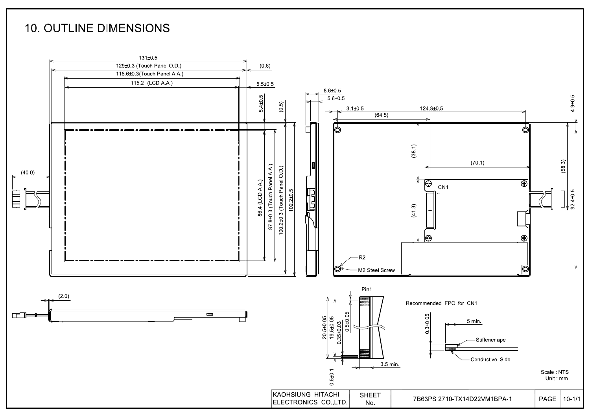## **10. OUTLINE DIMENSIONS**

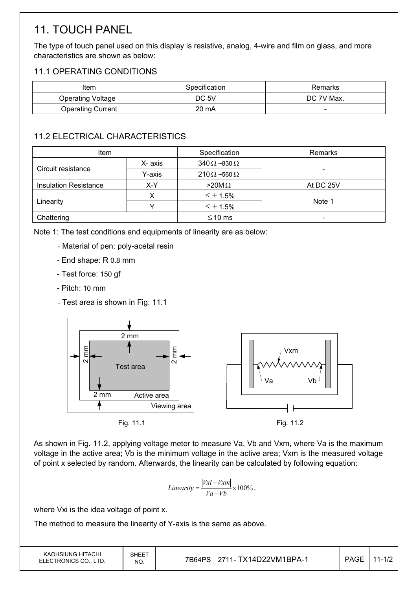# 11. TOUCH PANEL

The type of touch panel used on this display is resistive, analog, 4-wire and film on glass, and more characteristics are shown as below:

## 11.1 OPERATING CONDITIONS

| Item                     | Specification | Remarks                  |
|--------------------------|---------------|--------------------------|
| <b>Operating Voltage</b> | DC 5V         | DC 7V Max.               |
| <b>Operating Current</b> | 20 mA         | $\overline{\phantom{0}}$ |

## 11.2 ELECTRICAL CHARACTERISTICS

| <b>Item</b>                  |         | Specification              | Remarks   |
|------------------------------|---------|----------------------------|-----------|
| Circuit resistance           | X- axis | $340 \Omega$ ~830 $\Omega$ |           |
|                              | Y-axis  | $210 \Omega$ ~560 $\Omega$ |           |
| <b>Insulation Resistance</b> | X-Y     | $>20M\Omega$               | At DC 25V |
|                              |         | $\leq \pm 1.5\%$           |           |
| Linearity                    |         | $\leq \pm 1.5\%$           | Note 1    |
| Chattering                   |         | $\leq$ 10 ms               | -         |

Note 1: The test conditions and equipments of linearity are as below:

- Material of pen: poly-acetal resin
- End shape: R 0.8 mm
- Test force: 150 gf
- Pitch: 10 mm
- Test area is shown in Fig. 11.1



As shown in Fig. 11.2, applying voltage meter to measure Va, Vb and Vxm, where Va is the maximum voltage in the active area; Vb is the minimum voltage in the active area; Vxm is the measured voltage of point x selected by random. Afterwards, the linearity can be calculated by following equation:

$$
Linearity = \frac{|Vxi - Vxm|}{Va - Vb} \times 100\%,
$$

where Vxi is the idea voltage of point x.

The method to measure the linearity of Y-axis is the same as above.

| KAOHSIUNG HITACHI<br>ELECTRONICS CO., LTD. | SHEET<br>NO. | 7B64PS 2711- TX14D22VM1BPA-1 | <b>PAGE</b> | $11 - 1/2$ |
|--------------------------------------------|--------------|------------------------------|-------------|------------|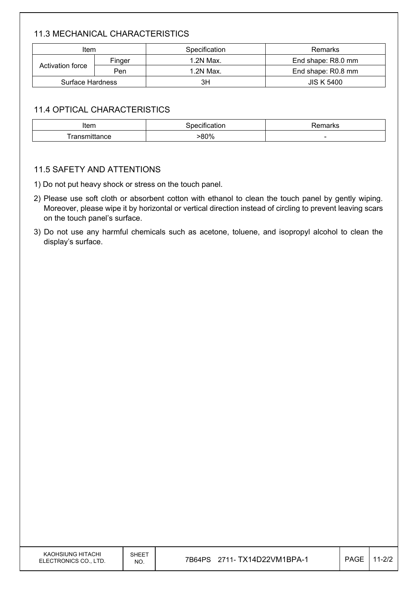## 11.3 MECHANICAL CHARACTERISTICS

| Item             |        | Specification | Remarks            |
|------------------|--------|---------------|--------------------|
|                  | Finger | 1.2N Max.     | End shape: R8.0 mm |
| Activation force | Pen    | 1.2N Max.     | End shape: R0.8 mm |
| Surface Hardness |        | ЗH            | <b>JIS K 5400</b>  |

### 11.4 OPTICAL CHARACTERISTICS

| Item         | $\cdot$<br>ıcatıon<br>necitii. | $1 - 2 - 1$<br>™ildi KJ  |  |  |  |
|--------------|--------------------------------|--------------------------|--|--|--|
| ransmittance | .80%                           | $\overline{\phantom{0}}$ |  |  |  |

#### 11.5 SAFETY AND ATTENTIONS

- 1) Do not put heavy shock or stress on the touch panel.
- 2) Please use soft cloth or absorbent cotton with ethanol to clean the touch panel by gently wiping. Moreover, please wipe it by horizontal or vertical direction instead of circling to prevent leaving scars on the touch panel's surface.
- 3) Do not use any harmful chemicals such as acetone, toluene, and isopropyl alcohol to clean the display's surface.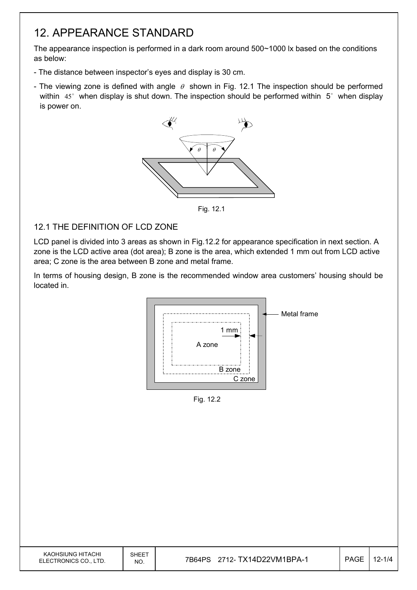## 12. APPEARANCE STANDARD

The appearance inspection is performed in a dark room around 500~1000 lx based on the conditions as below:

- The distance between inspector's eyes and display is 30 cm.
- The viewing zone is defined with angle  $\theta$  shown in Fig. 12.1 The inspection should be performed within  $45^\circ$  when display is shut down. The inspection should be performed within  $5^\circ$  when display is power on.



Fig. 12.1

### 12.1 THE DEFINITION OF LCD ZONE

LCD panel is divided into 3 areas as shown in Fig.12.2 for appearance specification in next section. A zone is the LCD active area (dot area); B zone is the area, which extended 1 mm out from LCD active area; C zone is the area between B zone and metal frame.

In terms of housing design, B zone is the recommended window area customers' housing should be located in.



Fig. 12.2

| KAOHSIUNG HITACHI<br>ELECTRONICS CO., LTD. | SHEET<br>NO. | 2712- TX14D22VM1BPA-1<br>7B64PS | <b>PAGE</b> | $12 - 1/4$ |
|--------------------------------------------|--------------|---------------------------------|-------------|------------|
|                                            |              |                                 |             |            |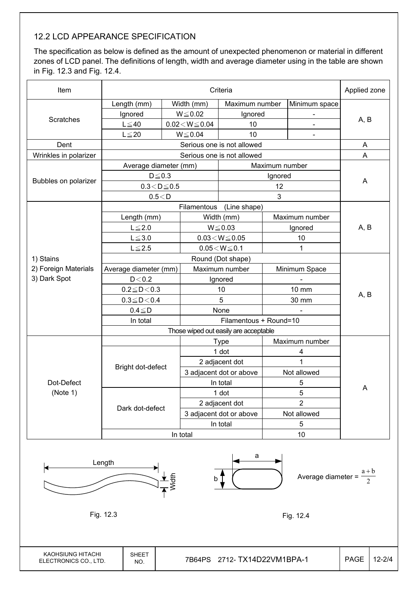## 12.2 LCD APPEARANCE SPECIFICATION

The specification as below is defined as the amount of unexpected phenomenon or material in different zones of LCD panel. The definitions of length, width and average diameter using in the table are shown in Fig. 12.3 and Fig. 12.4.

| Item                   |                                       | Applied zone             |                          |                            |                |                |      |  |
|------------------------|---------------------------------------|--------------------------|--------------------------|----------------------------|----------------|----------------|------|--|
|                        | Length (mm)                           |                          | Width (mm)               | Maximum number             |                | Minimum space  |      |  |
|                        | Ignored                               | $W \le 0.02$             |                          | Ignored                    |                |                |      |  |
| <b>Scratches</b>       | $L \leq 40$                           | $0.02\!<\!W\!\leq\!0.04$ |                          | 10                         |                | $\blacksquare$ | A, B |  |
|                        | $L \leq 20$                           |                          | $W \le 0.04$             | 10                         |                | $\blacksquare$ |      |  |
| Dent                   |                                       |                          |                          | Serious one is not allowed |                |                | A    |  |
| Wrinkles in polarizer  |                                       |                          |                          | Serious one is not allowed |                |                | A    |  |
|                        | Average diameter (mm)                 |                          |                          |                            | Maximum number |                |      |  |
|                        | $D \leq 0.3$                          |                          |                          |                            | Ignored        |                |      |  |
| Bubbles on polarizer   | $0.3\!<\!D\!\leq\!0.5$                |                          |                          |                            | 12             |                | A    |  |
|                        | 0.5 < D                               |                          |                          |                            | 3              |                |      |  |
|                        |                                       |                          |                          | Filamentous (Line shape)   |                |                |      |  |
|                        | Length (mm)                           |                          |                          | Width (mm)                 |                | Maximum number |      |  |
|                        | $L \leq 2.0$                          |                          |                          | $W \le 0.03$               | Ignored        |                | A, B |  |
|                        | $L \le 3.0$                           |                          | $0.03\!<\!W\!\leq\!0.05$ |                            | 10             |                |      |  |
|                        | $L \leq 2.5$                          |                          |                          | $0.05\!<\!W\!\leq\!0.1$    |                | 1              |      |  |
| 1) Stains              |                                       |                          | Round (Dot shape)        |                            |                |                |      |  |
| 2) Foreign Materials   | Average diameter (mm)                 |                          |                          | Maximum number             |                | Minimum Space  |      |  |
| 3) Dark Spot           | D < 0.2                               |                          |                          | Ignored                    |                |                |      |  |
|                        | $0.2 \le D < 0.3$                     |                          |                          | 10                         |                | 10 mm          | A, B |  |
|                        | $0.3 \leq D \leq 0.4$                 |                          |                          | 5                          |                | 30 mm          |      |  |
|                        | $0.4 \leq D$                          |                          | None                     |                            |                |                |      |  |
|                        | In total                              |                          |                          | Filamentous + Round=10     |                |                |      |  |
|                        | Those wiped out easily are acceptable |                          |                          |                            |                |                |      |  |
|                        |                                       |                          |                          | <b>Type</b>                |                | Maximum number |      |  |
|                        |                                       |                          |                          | 1 dot                      |                | 4              |      |  |
|                        | Bright dot-defect                     |                          |                          | 2 adjacent dot             |                | $\overline{1}$ |      |  |
| Dot-Defect<br>(Note 1) |                                       |                          |                          | 3 adjacent dot or above    |                | Not allowed    |      |  |
|                        |                                       |                          |                          | In total                   |                | 5              | Α    |  |
|                        |                                       |                          |                          | 1 dot                      | 5              |                |      |  |
|                        | Dark dot-defect                       |                          |                          | 2 adjacent dot             | $\overline{2}$ |                |      |  |
|                        |                                       |                          |                          | 3 adjacent dot or above    |                | Not allowed    |      |  |
|                        |                                       |                          |                          | In total                   |                | 5              |      |  |
|                        | In total                              |                          |                          |                            |                | 10             |      |  |

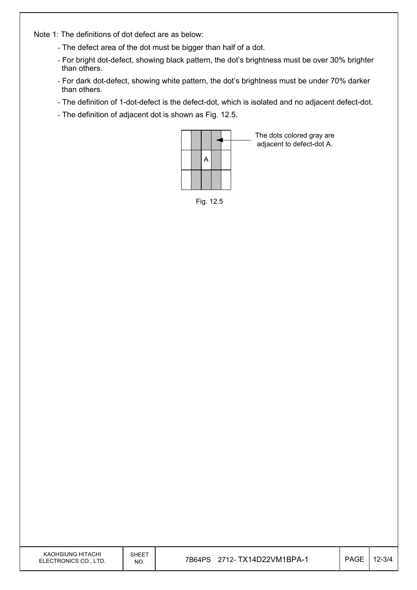Note 1: The definitions of dot defect are as below:

- The defect area of the dot must be bigger than half of a dot.
- For bright dot-defect, showing black pattern, the dot's brightness must be over 30% brighter than others.
- For dark dot-defect, showing white pattern, the dot's brightness must be under 70% darker than others.
- The definition of 1-dot-defect is the defect-dot, which is isolated and no adjacent defect-dot.
- The definition of adjacent dot is shown as Fig. 12.5.



The dots colored gray are adjacent to defect-dot A.

Fig. 12.5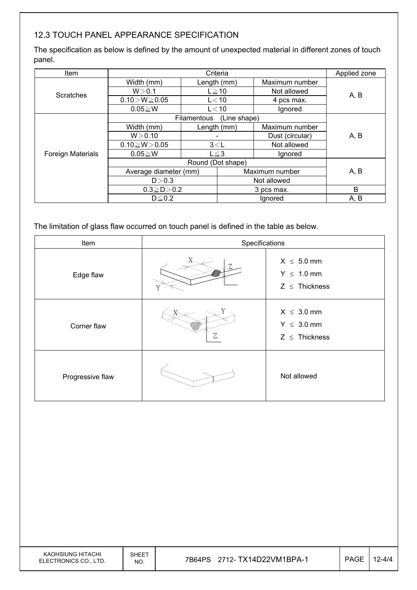## 12.3 TOUCH PANEL APPEARANCE SPECIFICATION

The specification as below is defined by the amount of unexpected material in different zones of touch panel.

| Item                     | Criteria                    |            |                | Applied zone    |      |  |
|--------------------------|-----------------------------|------------|----------------|-----------------|------|--|
| <b>Scratches</b>         | Width (mm)                  |            | Length (mm)    | Maximum number  |      |  |
|                          | W > 0.1                     |            | $L \geq 10$    | Not allowed     | A, B |  |
|                          | $0.10 > W \ge 0.05$         |            | $L<$ 10        | 4 pcs max.      |      |  |
|                          | $0.05 \geq W$               |            | $L<$ 10        | Ignored         |      |  |
|                          | (Line shape)<br>Filamentous |            |                |                 |      |  |
| <b>Foreign Materials</b> | Width (mm)                  |            | Length (mm)    | Maximum number  |      |  |
|                          | W > 0.10                    |            |                | Dust (circular) | A, B |  |
|                          | $0.10 \ge W > 0.05$         | 3< L       |                | Not allowed     |      |  |
|                          | $0.05 \geq W$               | $L \leq 3$ |                | Ignored         |      |  |
|                          | Round (Dot shape)           |            |                |                 |      |  |
|                          | Average diameter (mm)       |            | Maximum number |                 | A, B |  |
|                          | D > 0.3                     |            | Not allowed    |                 |      |  |
|                          | $0.3 \ge D > 0.2$           |            | 3 pcs max.     |                 | B    |  |
|                          | $D \leq 0.2$                |            | Ignored        |                 | A, B |  |

The limitation of glass flaw occurred on touch panel is defined in the table as below.

| Item             |   | Specifications                                           |  |
|------------------|---|----------------------------------------------------------|--|
| Edge flaw        |   | $X \leq 5.0$ mm<br>$Y \leq 1.0$ mm<br>$Z \leq$ Thickness |  |
| Corner flaw      | Ζ | $X \leq 3.0$ mm<br>$Y \leq 3.0$ mm<br>$Z \leq$ Thickness |  |
| Progressive flaw |   | Not allowed                                              |  |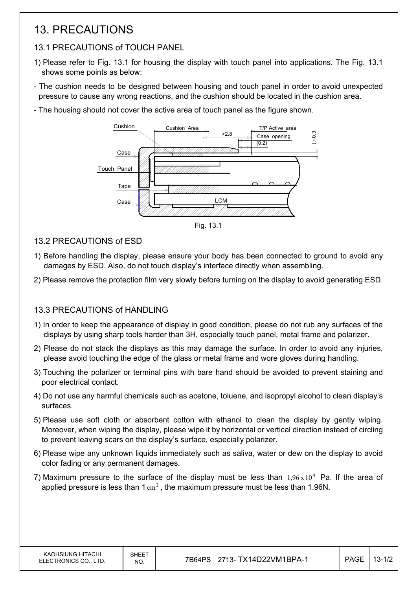## 13. PRECAUTIONS

## 13.1 PRECAUTIONS of TOUCH PANEL

- 1) Please refer to Fig. 13.1 for housing the display with touch panel into applications. The Fig. 13.1 shows some points as below:
- The cushion needs to be designed between housing and touch panel in order to avoid unexpected pressure to cause any wrong reactions, and the cushion should be located in the cushion area.
- The housing should not cover the active area of touch panel as the figure shown.



Fig. 13.1

- 13.2 PRECAUTIONS of ESD
- 1) Before handling the display, please ensure your body has been connected to ground to avoid any damages by ESD. Also, do not touch display's interface directly when assembling.
- 2) Please remove the protection film very slowly before turning on the display to avoid generating ESD.

### 13.3 PRECAUTIONS of HANDLING

- 1) In order to keep the appearance of display in good condition, please do not rub any surfaces of the displays by using sharp tools harder than 3H, especially touch panel, metal frame and polarizer.
- 2) Please do not stack the displays as this may damage the surface. In order to avoid any injuries, please avoid touching the edge of the glass or metal frame and wore gloves during handling.
- 3) Touching the polarizer or terminal pins with bare hand should be avoided to prevent staining and poor electrical contact.
- 4) Do not use any harmful chemicals such as acetone, toluene, and isopropyl alcohol to clean display's surfaces.
- 5) Please use soft cloth or absorbent cotton with ethanol to clean the display by gently wiping. Moreover, when wiping the display, please wipe it by horizontal or vertical direction instead of circling to prevent leaving scars on the display's surface, especially polarizer.
- 6) Please wipe any unknown liquids immediately such as saliva, water or dew on the display to avoid color fading or any permanent damages.
- 7) Maximum pressure to the surface of the display must be less than  $1.96 \times 10^4$  Pa. If the area of applied pressure is less than  $1 \text{ cm}^2$ , the maximum pressure must be less than 1.96N.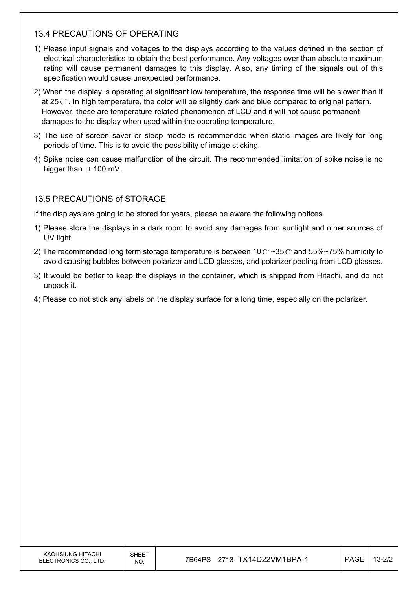#### 13.4 PRECAUTIONS OF OPERATING

- 1) Please input signals and voltages to the displays according to the values defined in the section of electrical characteristics to obtain the best performance. Any voltages over than absolute maximum rating will cause permanent damages to this display. Also, any timing of the signals out of this specification would cause unexpected performance.
- 2) When the display is operating at significant low temperature, the response time will be slower than it at 25  $\mathrm{C}^{\circ}$ . In high temperature, the color will be slightly dark and blue compared to original pattern. However, these are temperature-related phenomenon of LCD and it will not cause permanent damages to the display when used within the operating temperature.
- 3) The use of screen saver or sleep mode is recommended when static images are likely for long periods of time. This is to avoid the possibility of image sticking.
- 4) Spike noise can cause malfunction of the circuit. The recommended limitation of spike noise is no bigger than  $\pm$  100 mV.

#### 13.5 PRECAUTIONS of STORAGE

If the displays are going to be stored for years, please be aware the following notices.

- 1) Please store the displays in a dark room to avoid any damages from sunlight and other sources of UV light.
- 2) The recommended long term storage temperature is between 10  $C^{\circ}$  ~35  $C^{\circ}$  and 55%~75% humidity to avoid causing bubbles between polarizer and LCD glasses, and polarizer peeling from LCD glasses.
- 3) It would be better to keep the displays in the container, which is shipped from Hitachi, and do not unpack it.
- 4) Please do not stick any labels on the display surface for a long time, especially on the polarizer.